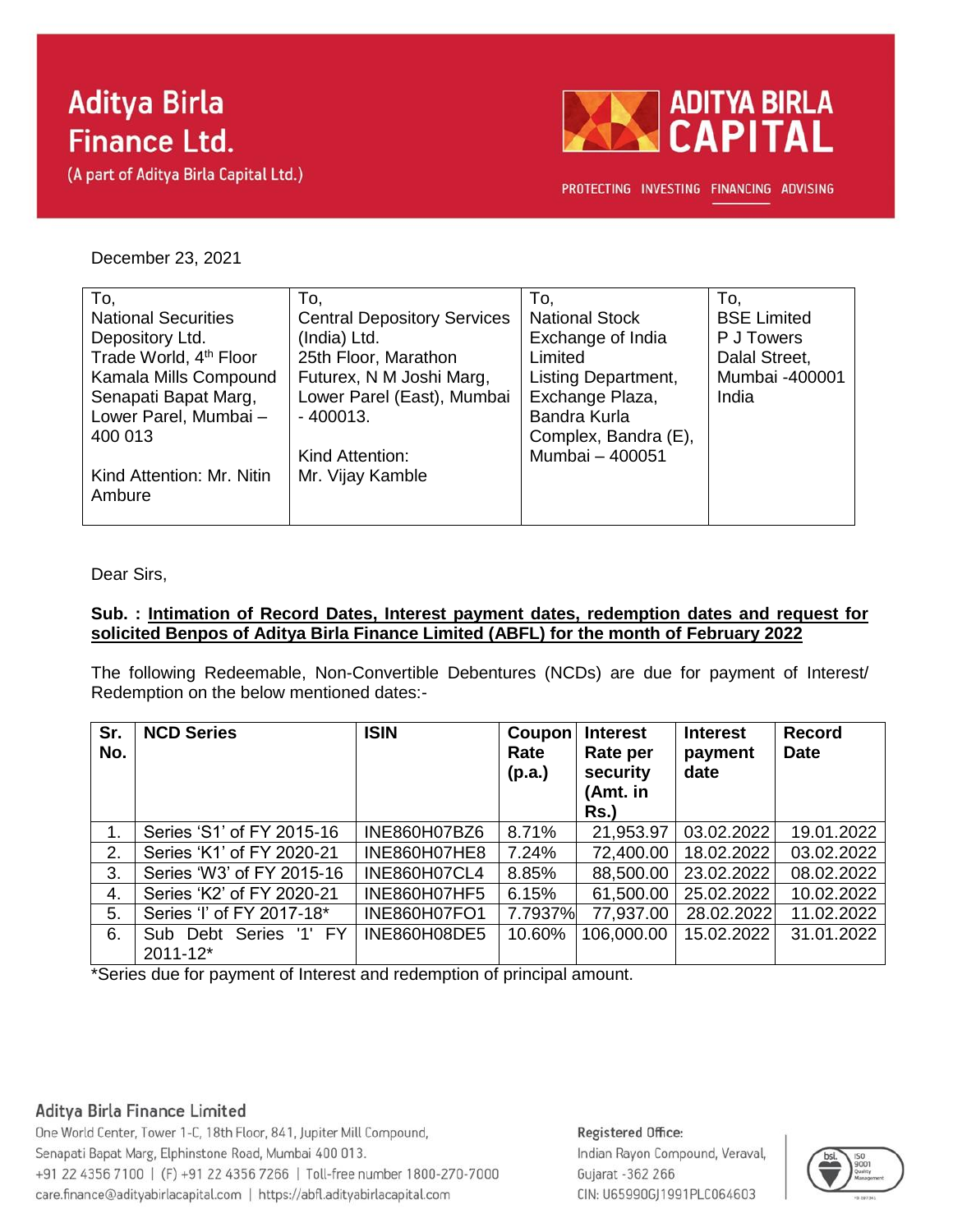# **Aditya Birla Finance Ltd.**

(A part of Aditya Birla Capital Ltd.)



PROTECTING INVESTING FINANCING ADVISING

#### December 23, 2021

| To,                                | To,                                | To.                        | To.                |
|------------------------------------|------------------------------------|----------------------------|--------------------|
| <b>National Securities</b>         | <b>Central Depository Services</b> | <b>National Stock</b>      | <b>BSE Limited</b> |
| Depository Ltd.                    | (India) Ltd.                       | Exchange of India          | P J Towers         |
| Trade World, 4 <sup>th</sup> Floor | 25th Floor, Marathon               | Limited                    | Dalal Street,      |
| Kamala Mills Compound              | Futurex, N M Joshi Marg,           | <b>Listing Department,</b> | Mumbai -400001     |
| Senapati Bapat Marg,               | Lower Parel (East), Mumbai         | Exchange Plaza,            | India              |
| Lower Parel, Mumbai-               | $-400013.$                         | Bandra Kurla               |                    |
| 400 013                            |                                    | Complex, Bandra (E),       |                    |
|                                    | Kind Attention:                    | Mumbai - 400051            |                    |
| Kind Attention: Mr. Nitin          | Mr. Vijay Kamble                   |                            |                    |
| Ambure                             |                                    |                            |                    |
|                                    |                                    |                            |                    |

Dear Sirs,

#### **Sub. : Intimation of Record Dates, Interest payment dates, redemption dates and request for solicited Benpos of Aditya Birla Finance Limited (ABFL) for the month of February 2022**

The following Redeemable, Non-Convertible Debentures (NCDs) are due for payment of Interest/ Redemption on the below mentioned dates:-

| Sr.<br>No. | <b>NCD Series</b>                  | <b>ISIN</b>         | Coupon<br>Rate<br>(p.a.) | <b>Interest</b><br>Rate per<br>security<br>(Amt. in<br><b>Rs.)</b> | <b>Interest</b><br>payment<br>date | <b>Record</b><br><b>Date</b> |
|------------|------------------------------------|---------------------|--------------------------|--------------------------------------------------------------------|------------------------------------|------------------------------|
| 1.         | Series 'S1' of FY 2015-16          | INE860H07BZ6        | 8.71%                    | 21,953.97                                                          | 03.02.2022                         | 19.01.2022                   |
| 2.         | Series 'K1' of FY 2020-21          | INE860H07HE8        | 7.24%                    | 72,400.00                                                          | 18.02.2022                         | 03.02.2022                   |
| 3.         | Series 'W3' of FY 2015-16          | <b>INE860H07CL4</b> | 8.85%                    | 88,500.00                                                          | 23.02.2022                         | 08.02.2022                   |
| 4.         | Series 'K2' of FY 2020-21          | INE860H07HF5        | 6.15%                    | 61,500.00                                                          | 25.02.2022                         | 10.02.2022                   |
| 5.         | Series 'I' of FY 2017-18*          | <b>INE860H07FO1</b> | 7.7937%                  | 77,937.00                                                          | 28.02.2022                         | 11.02.2022                   |
| 6.         | Sub Debt Series '1' FY<br>2011-12* | <b>INE860H08DE5</b> | 10.60%                   | 106,000.00                                                         | 15.02.2022                         | 31.01.2022                   |

\*Series due for payment of Interest and redemption of principal amount.

### Aditya Birla Finance Limited

One World Center, Tower 1-C, 18th Floor, 841, Jupiter Mill Compound, Senapati Bapat Marg, Elphinstone Road, Mumbai 400 013. +91 22 4356 7100 | (F) +91 22 4356 7266 | Toll-free number 1800-270-7000 care.finance@adityabirlacapital.com | https://abfl.adityabirlacapital.com

## Registered Office:

Indian Rayon Compound, Veraval, Gujarat - 362 266 CIN: U65990GJ1991PLC064603